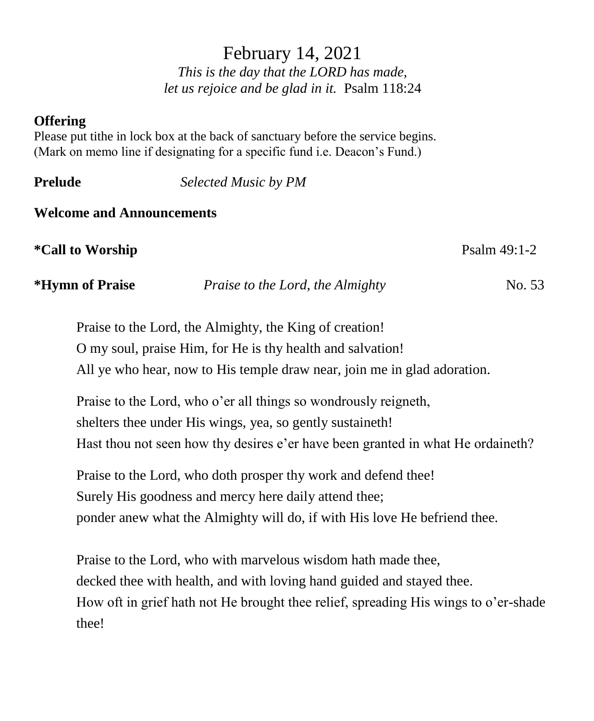# February 14, 2021

*This is the day that the LORD has made, let us rejoice and be glad in it.* Psalm 118:24

### **Offering**

Please put tithe in lock box at the back of sanctuary before the service begins. (Mark on memo line if designating for a specific fund i.e. Deacon's Fund.)

**Prelude** *Selected Music by PM*

### **Welcome and Announcements**

**\*Call to Worship** Psalm 49:1-2

**\*Hymn of Praise** *Praise to the Lord, the Almighty* No. 53

Praise to the Lord, the Almighty, the King of creation! O my soul, praise Him, for He is thy health and salvation! All ye who hear, now to His temple draw near, join me in glad adoration.

Praise to the Lord, who o'er all things so wondrously reigneth, shelters thee under His wings, yea, so gently sustaineth! Hast thou not seen how thy desires e'er have been granted in what He ordaineth?

Praise to the Lord, who doth prosper thy work and defend thee! Surely His goodness and mercy here daily attend thee; ponder anew what the Almighty will do, if with His love He befriend thee.

Praise to the Lord, who with marvelous wisdom hath made thee, decked thee with health, and with loving hand guided and stayed thee. How oft in grief hath not He brought thee relief, spreading His wings to o'er-shade thee!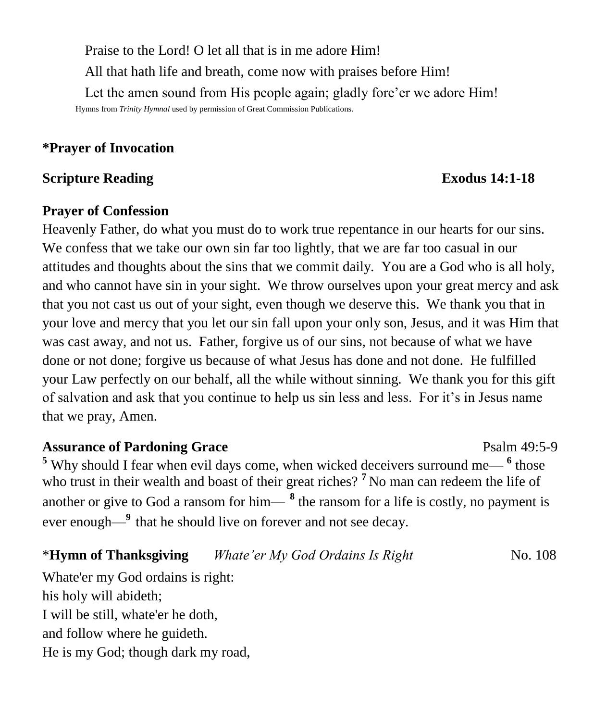Praise to the Lord! O let all that is in me adore Him! All that hath life and breath, come now with praises before Him! Let the amen sound from His people again; gladly fore'er we adore Him! Hymns from *Trinity Hymnal* used by permission of Great Commission Publications.

## **\*Prayer of Invocation**

### **Scripture Reading Exodus 14:1-18**

### **Prayer of Confession**

Heavenly Father, do what you must do to work true repentance in our hearts for our sins. We confess that we take our own sin far too lightly, that we are far too casual in our attitudes and thoughts about the sins that we commit daily. You are a God who is all holy, and who cannot have sin in your sight. We throw ourselves upon your great mercy and ask that you not cast us out of your sight, even though we deserve this. We thank you that in your love and mercy that you let our sin fall upon your only son, Jesus, and it was Him that was cast away, and not us. Father, forgive us of our sins, not because of what we have done or not done; forgive us because of what Jesus has done and not done. He fulfilled your Law perfectly on our behalf, all the while without sinning. We thank you for this gift of salvation and ask that you continue to help us sin less and less. For it's in Jesus name that we pray, Amen.

## Assurance of Pardoning Grace **Particle 19:5-9** Psalm 49:5-9

<sup>5</sup> Why should I fear when evil days come, when wicked deceivers surround me— <sup>6</sup> those who trust in their wealth and boast of their great riches? <sup>7</sup>No man can redeem the life of another or give to God a ransom for him— **<sup>8</sup>** the ransom for a life is costly, no payment is ever enough—<sup>9</sup> that he should live on forever and not see decay.

\***Hymn of Thanksgiving** *Whate'er My God Ordains Is Right*No. 108

Whate'er my God ordains is right: his holy will abideth; I will be still, whate'er he doth, and follow where he guideth. He is my God; though dark my road,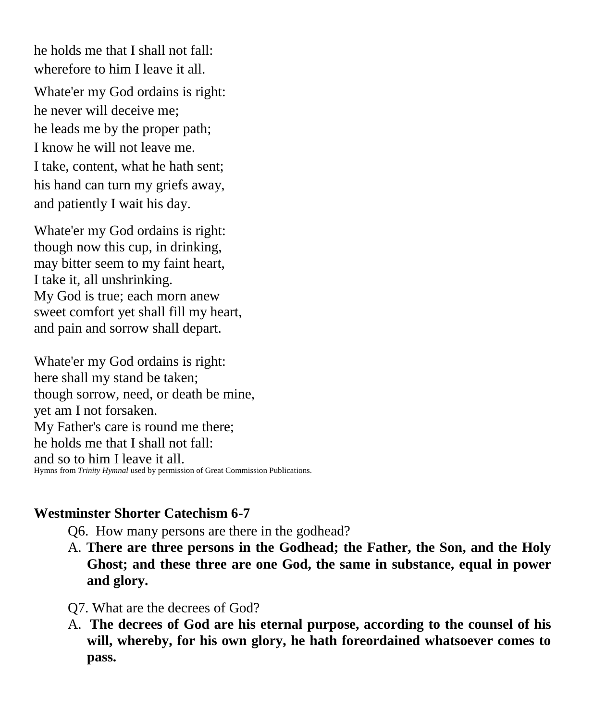he holds me that I shall not fall: wherefore to him I leave it all.

Whate'er my God ordains is right: he never will deceive me; he leads me by the proper path; I know he will not leave me. I take, content, what he hath sent; his hand can turn my griefs away, and patiently I wait his day.

Whate'er my God ordains is right: though now this cup, in drinking, may bitter seem to my faint heart, I take it, all unshrinking. My God is true; each morn anew sweet comfort yet shall fill my heart, and pain and sorrow shall depart.

Whate'er my God ordains is right: here shall my stand be taken; though sorrow, need, or death be mine, yet am I not forsaken. My Father's care is round me there; he holds me that I shall not fall: and so to him I leave it all. Hymns from *Trinity Hymnal* used by permission of Great Commission Publications.

### **Westminster Shorter Catechism 6-7**

Q6. How many persons are there in the godhead?

- A. **There are three persons in the Godhead; the Father, the Son, and the Holy Ghost; and these three are one God, the same in substance, equal in power and glory.**
- Q7. What are the decrees of God?
- A. **The decrees of God are his eternal purpose, according to the counsel of his will, whereby, for his own glory, he hath foreordained whatsoever comes to pass.**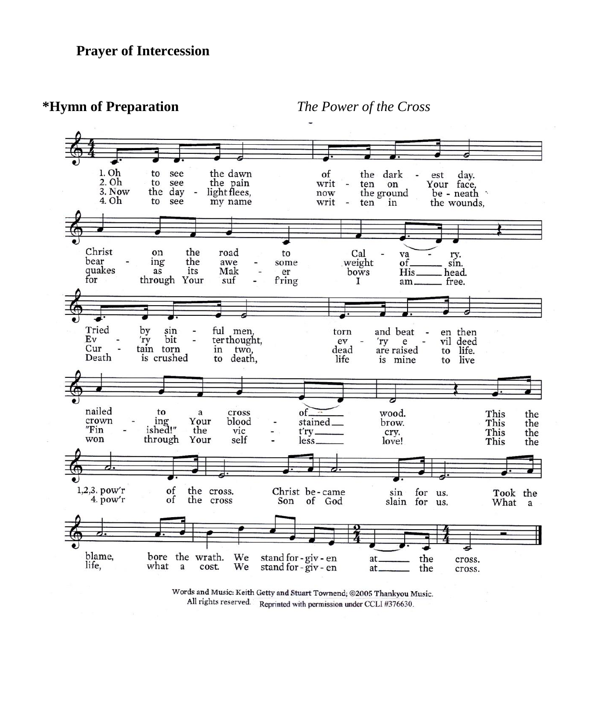**\*Hymn of Preparation** *The Power of the Cross*



Words and Music: Keith Getty and Stuart Townend; ©2005 Thankyou Music. All rights reserved. Reprinted with permission under CCLI #376630.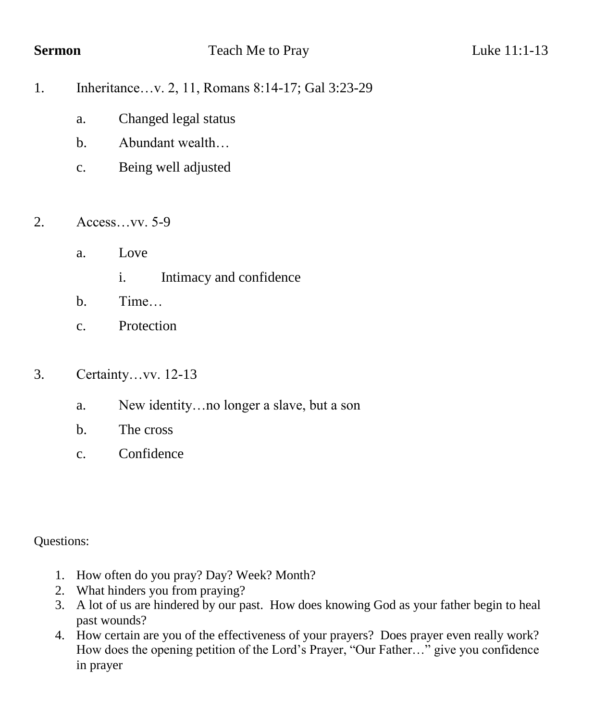- 1. Inheritance…v. 2, 11, Romans 8:14-17; Gal 3:23-29
	- a. Changed legal status
	- b. Abundant wealth…
	- c. Being well adjusted
- 2. Access…vv. 5-9
	- a. Love
		- i. Intimacy and confidence
	- b. Time…
	- c. Protection
- 3. Certainty…vv. 12-13
	- a. New identity…no longer a slave, but a son
	- b. The cross
	- c. Confidence

Questions:

- 1. How often do you pray? Day? Week? Month?
- 2. What hinders you from praying?
- 3. A lot of us are hindered by our past. How does knowing God as your father begin to heal past wounds?
- 4. How certain are you of the effectiveness of your prayers? Does prayer even really work? How does the opening petition of the Lord's Prayer, "Our Father…" give you confidence in prayer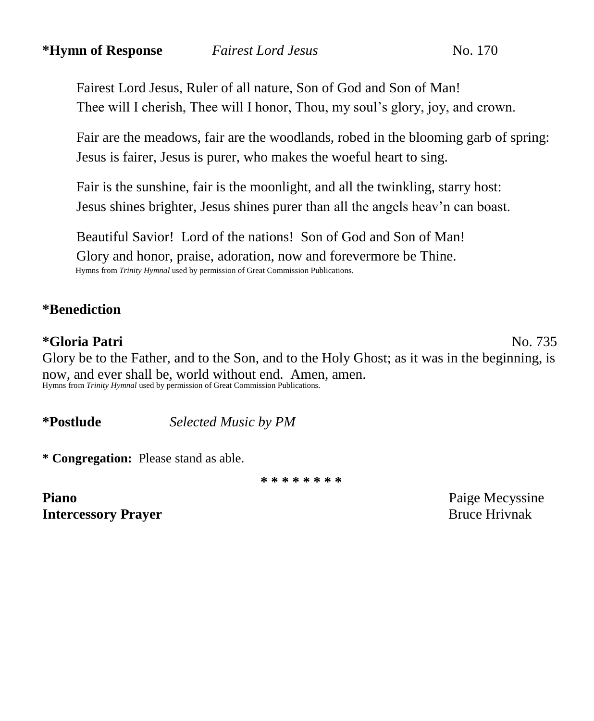Fairest Lord Jesus, Ruler of all nature, Son of God and Son of Man! Thee will I cherish, Thee will I honor, Thou, my soul's glory, joy, and crown.

Fair are the meadows, fair are the woodlands, robed in the blooming garb of spring: Jesus is fairer, Jesus is purer, who makes the woeful heart to sing.

Fair is the sunshine, fair is the moonlight, and all the twinkling, starry host: Jesus shines brighter, Jesus shines purer than all the angels heav'n can boast.

Beautiful Savior! Lord of the nations! Son of God and Son of Man! Glory and honor, praise, adoration, now and forevermore be Thine. Hymns from *Trinity Hymnal* used by permission of Great Commission Publications.

## **\*Benediction**

### **\*Gloria Patri** No. 735

Glory be to the Father, and to the Son, and to the Holy Ghost; as it was in the beginning, is now, and ever shall be, world without end. Amen, amen. Hymns from *Trinity Hymnal* used by permission of Great Commission Publications.

**\*Postlude** *Selected Music by PM*

**\* Congregation:** Please stand as able.

**\* \* \* \* \* \* \* \***

**Piano Paige Mecyssine Paige Mecyssine Intercessory Prayer** Bruce Hrivnak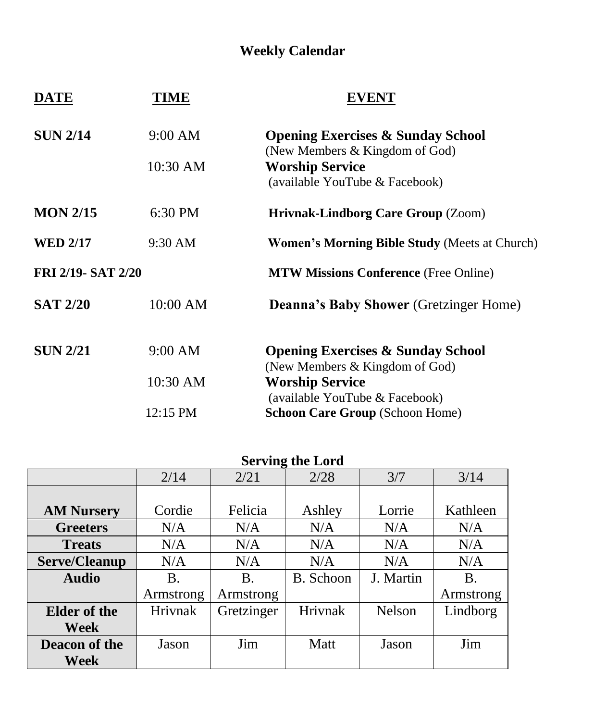# **Weekly Calendar**

| <b>DATE</b>        | TIME              | EVENT                                                    |  |  |  |
|--------------------|-------------------|----------------------------------------------------------|--|--|--|
| <b>SUN 2/14</b>    | 9:00 AM           | <b>Opening Exercises &amp; Sunday School</b>             |  |  |  |
|                    |                   | (New Members & Kingdom of God)                           |  |  |  |
|                    | 10:30 AM          | <b>Worship Service</b>                                   |  |  |  |
|                    |                   | (available YouTube & Facebook)                           |  |  |  |
| <b>MON 2/15</b>    | 6:30 PM           | Hrivnak-Lindborg Care Group (Zoom)                       |  |  |  |
| <b>WED 2/17</b>    | $9:30 \text{ AM}$ | <b>Women's Morning Bible Study (Meets at Church)</b>     |  |  |  |
| FRI 2/19- SAT 2/20 |                   | <b>MTW Missions Conference</b> (Free Online)             |  |  |  |
| <b>SAT 2/20</b>    | 10:00 AM          | <b>Deanna's Baby Shower</b> (Gretzinger Home)            |  |  |  |
| <b>SUN 2/21</b>    | 9:00 AM           | <b>Opening Exercises &amp; Sunday School</b>             |  |  |  |
|                    | 10:30 AM          | (New Members & Kingdom of God)<br><b>Worship Service</b> |  |  |  |
|                    |                   | (available YouTube & Facebook)                           |  |  |  |
|                    | 12:15 PM          | <b>Schoon Care Group (Schoon Home)</b>                   |  |  |  |

# **Serving the Lord**

|                      | 2/14      | 2/21       | 2/28      | 3/7       | 3/14      |
|----------------------|-----------|------------|-----------|-----------|-----------|
|                      |           |            |           |           |           |
| <b>AM Nursery</b>    | Cordie    | Felicia    | Ashley    | Lorrie    | Kathleen  |
| <b>Greeters</b>      | N/A       | N/A        | N/A       | N/A       | N/A       |
| <b>Treats</b>        | N/A       | N/A        | N/A       | N/A       | N/A       |
| <b>Serve/Cleanup</b> | N/A       | N/A        | N/A       | N/A       | N/A       |
| <b>Audio</b>         | Β.        | В.         | B. Schoon | J. Martin | B.        |
|                      | Armstrong | Armstrong  |           |           | Armstrong |
| <b>Elder of the</b>  | Hrivnak   | Gretzinger | Hrivnak   | Nelson    | Lindborg  |
| Week                 |           |            |           |           |           |
| Deacon of the        | Jason     | Jim        | Matt      | Jason     | Jim       |
| <b>Week</b>          |           |            |           |           |           |